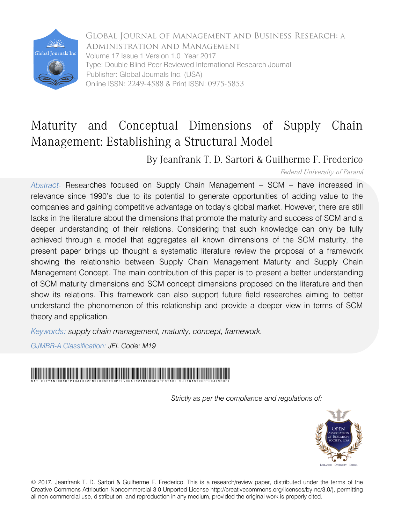

Global Journal of Management and Business Research: A Administration and Management Volume 17 Issue 1 Version 1.0 Year 2017 Type: Double Blind Peer Reviewed International Research Journal Publisher: Global Journals Inc. (USA) Online ISSN: 2249-4588 & Print ISSN: 0975-5853

# Maturity and Conceptual Dimensions of Supply Chain Management: Establishing a Structural Model

By Jeanfrank T. D. Sartori & Guilherme F. Frederico

Federal University of Paraná

*Abstract-* Researches focused on Supply Chain Management – SCM – have increased in relevance since 1990's due to its potential to generate opportunities of adding value to the companies and gaining competitive advantage on today's global market. However, there are still lacks in the literature about the dimensions that promote the maturity and success of SCM and a deeper understanding of their relations. Considering that such knowledge can only be fully achieved through a model that aggregates all known dimensions of the SCM maturity, the present paper brings up thought a systematic literature review the proposal of a framework showing the relationship between Supply Chain Management Maturity and Supply Chain Management Concept. The main contribution of this paper is to present a better understanding of SCM maturity dimensions and SCM concept dimensions proposed on the literature and then show its relations. This framework can also support future field researches aiming to better understand the phenomenon of this relationship and provide a deeper view in terms of SCM theory and application.

*Keywords: supply chain management, maturity, concept, framework.*

*GJMBR-A Classification: JEL Code: M19*



*Strictly as per the compliance and regulations of:*



© 2017. Jeanfrank T. D. Sartori & Guilherme F. Frederico. This is a research/review paper, distributed under the terms of the Creative Commons Attribution-Noncommercial 3.0 Unported License http://creativecommons.org/licenses/by-nc/3.0/), permitting all non-commercial use, distribution, and reproduction in any medium, provided the original work is properly cited.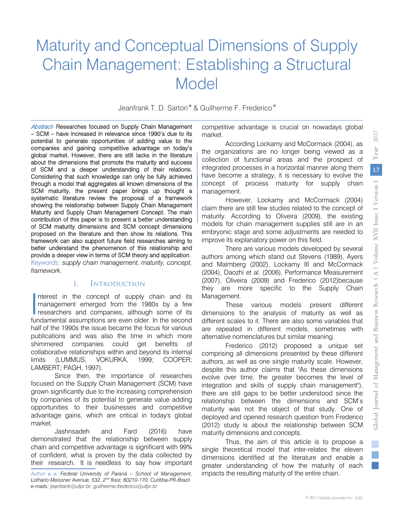# Maturity and Conceptual Dimensions of Supply Chain Management: Establishing a Structural Model

Jeanfrank T. D. Sartori<sup>α</sup> & Guilherme F. Frederico<sup>σ</sup>

Abstract- Researches focused on Supply Chain Management – SCM – have increased in relevance since 1990's due to its potential to generate opportunities of adding value to the companies and gaining competitive advantage on today's global market. However, there are still lacks in the literature about the dimensions that promote the maturity and success of SCM and a deeper understanding of their relations. Considering that such knowledge can only be fully achieved through a model that aggregates all known dimensions of the SCM maturity, the present paper brings up thought a systematic literature review the proposal of a framework showing the relationship between Supply Chain Management Maturity and Supply Chain Management Concept. The main contribution of this paper is to present a better understanding of SCM maturity dimensions and SCM concept dimensions proposed on the literature and then show its relations. This framework can also support future field researches aiming to better understand the phenomenon of this relationship and provide a deeper view in terms of SCM theory and application. *Keywords: supply chain management, maturity, concept, framework.*

# I. Introduction

nterest in the concept of supply chain and its management emerged from the 1980s by a few Interest in the concept of supply chain and its<br>
management emerged from the 1980s by a few<br>
researchers and companies, although some of its<br>
fundamental assumptions are even older in the second fundamental assumptions are even older. In the second half of the 1990s the issue became the focus for various publications and was also the time in which more shimmered companies could get benefits of collaborative relationships within and beyond its internal limits (LUMMUS; VOKURKA, 1999; COOPER; LAMBERT; PAGH, 1997).

Since then, the importance of researches focused on the Supply Chain Management (SCM) have grown significantly due to the increasing comprehension by companies of its potential to generate value adding opportunities to their businesses and competitive advantage gains, which are critical in today's global market.

Jashnsadeh and Fard (2016) have demonstrated that the relationship between supply chain and competitive advantage is significant with 99% of confident, what is proven by the data collected by their research. It is needless to say how important

*Author α σ: Federal University of Paraná – School of Management, Lothario Meissner Avenue, 532, 2nd floor, 80210-170, Curitiba-PR-Brazil. e-mails: jeanfrank@ufpr.br, guilherme.frederico@ufpr.br*

competitive advantage is crucial on nowadays global market.

According Lockamy and McCormack (2004), as the organizations are no longer being viewed as a collection of functional areas and the prospect of integrated processes in a horizontal manner along them have become a strategy, it is necessary to evolve the concept of process maturity for supply chain management.

 However, Lockamy and McCormack (2004) claim there are still few studies related to the concept of maturity. According to Oliveira (2009), the existing models for chain management supplies still are in an embryonic stage and some adjustments are needed to improve its explanatory power on this field.

There are various models developed by several authors among which stand out Stevens (1989), Ayers and Malmberg (2002), Lockamy III and McCormack (2004), Daozhi et al. (2006), Performance Measurement (2007), Oliveira (2009) and Frederico (2012)because they are more specific to the Supply Chain Management.

These various models present different dimensions to the analysis of maturity as well as different scales to it. There are also some variables that are repeated in different models, sometimes with alternative nomenclatures but similar meaning.

Frederico (2012) proposed a unique set comprising all dimensions presented by these different authors, as well as one single maturity scale. However, despite this author claims that "As these dimensions evolve over time, the greater becomes the level of integration and skills of supply chain management"), there are still gaps to be better understood since the relationship between the dimensions and SCM's maturity was not the object of that study. One of deployed and opened research question from Frederico (2012) study is about the relationship between SCM maturity dimensions and concepts.

Thus, the aim of this article is to propose a single theoretical model that inter-relates the eleven dimensions identified at the literature and enable a greater understanding of how the maturity of each impacts the resulting maturity of the entire chain.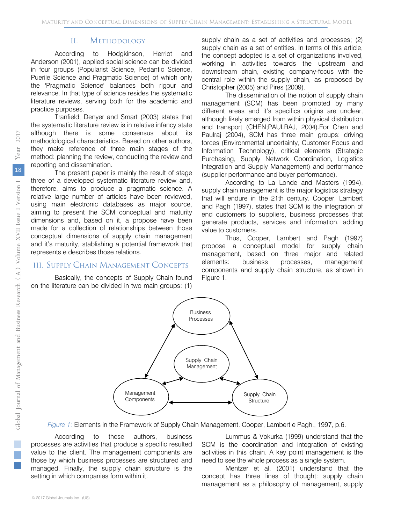#### II. Methodology

According to Hodgkinson, Herriot and Anderson (2001), applied social science can be divided in four groups (Popularist Science, Pedantic Science, Puerile Science and Pragmatic Science) of which only the 'Pragmatic Science' balances both rigour and relevance. In that type of science resides the systematic literature reviews, serving both for the academic and practice purposes.

Tranfield, Denyer and Smart (2003) states that the systematic literature review is in relative infancy state although there is some consensus about its methodological characteristics. Based on other authors, they make reference of three main stages of the method: planning the review, conducting the review and reporting and dissemination.

The present paper is mainly the result of stage three of a developed systematic literature review and, therefore, aims to produce a pragmatic science. A relative large number of articles have been reviewed, using main electronic databases as major source, aiming to present the SCM conceptual and maturity dimensions and, based on it, a propose have been made for a collection of relationships between those conceptual dimensions of supply chain management and it's maturity, stablishing a potential framework that represents e describes those relations.

#### III. Supply Chain Management Concepts

Basically, the concepts of Supply Chain found on the literature can be divided in two main groups: (1)

supply chain as a set of activities and processes; (2) supply chain as a set of entities. In terms of this article, the concept adopted is a set of organizations involved, working in activities towards the upstream and downstream chain, existing company-focus with the central role within the supply chain, as proposed by Christopher (2005) and Pires (2009).

The dissemination of the notion of supply chain management (SCM) has been promoted by many different areas and it's specifics origins are unclear, although likely emerged from within physical distribution and transport (CHEN;PAULRAJ, 2004).For Chen and Paulraj (2004), SCM has three main groups: driving forces (Environmental uncertainty, Customer Focus and Information Technology), critical elements (Strategic Purchasing, Supply Network Coordination, Logistics Integration and Supply Management) and performance (supplier performance and buyer performance).

According to La Londe and Masters (1994), supply chain management is the major logistics strategy that will endure in the 21th century. Cooper, Lambert and Pagh (1997), states that SCM is the integration of end customers to suppliers, business processes that generate products, services and information, adding value to customers.

Thus, Cooper, Lambert and Pagh (1997) propose a conceptual model for supply chain management, based on three major and related elements: business processes, management components and supply chain structure, as shown in Figure 1.



*Figure 1:* Elements in the Framework of Supply Chain Management. Cooper, Lambert e Pagh., 1997, p.6.

According to these authors, business processes are activities that produce a specific resulted value to the client. The management components are those by which business processes are structured and managed. Finally, the supply chain structure is the setting in which companies form within it.

Lummus & Vokurka (1999) understand that the SCM is the coordination and integration of existing activities in this chain. A key point management is the need to see the whole process as a single system.

Mentzer et al. (2001) understand that the concept has three lines of thought: supply chain management as a philosophy of management, supply

 $\mathbb{R}^3$  $\mathbb{R}^n$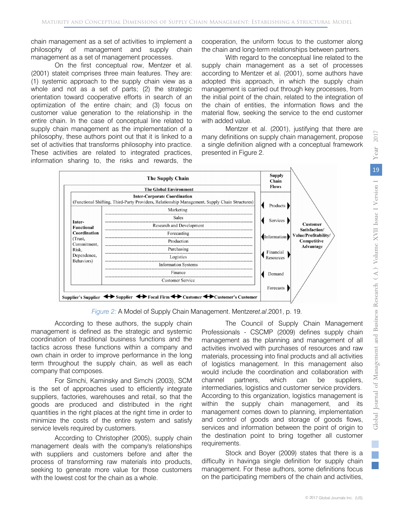chain management as a set of activities to implement a philosophy of management and supply chain management as a set of management processes.

On the first conceptual row, Mentzer et al. (2001) stateit comprises three main features. They are: (1) systemic approach to the supply chain view as a whole and not as a set of parts; (2) the strategic orientation toward cooperative efforts in search of an optimization of the entire chain; and (3) focus on customer value generation to the relationship in the entire chain. In the case of conceptual line related to supply chain management as the implementation of a philosophy, these authors point out that it is linked to a set of activities that transforms philosophy into practice. These activities are related to integrated practices, information sharing to, the risks and rewards, the

cooperation, the uniform focus to the customer along the chain and long-term relationships between partners.

With regard to the conceptual line related to the supply chain management as a set of processes according to Mentzer et al. (2001), some authors have adopted this approach, in which the supply chain management is carried out through key processes, from the initial point of the chain, related to the integration of the chain of entities, the information flows and the material flow, seeking the service to the end customer with added value.

Mentzer et al. (2001), justifying that there are many definitions on supply chain management, propose a single definition aligned with a conceptual framework presented in Figure 2.



*Figure 2:* A Model of Supply Chain Management. Mentzer*et.al*.2001, p. 19.

According to these authors, the supply chain management is defined as the strategic and systemic coordination of traditional business functions and the tactics across these functions within a company and own chain in order to improve performance in the long term throughout the supply chain, as well as each company that composes.

For Simchi, Kaminsky and Simchi (2003), SCM is the set of approaches used to efficiently integrate suppliers, factories, warehouses and retail, so that the goods are produced and distributed in the right quantities in the right places at the right time in order to minimize the costs of the entire system and satisfy service levels required by customers.

According to Christopher (2005), supply chain management deals with the company's relationships with suppliers and customers before and after the process of transforming raw materials into products, seeking to generate more value for those customers with the lowest cost for the chain as a whole.

The Council of Supply Chain Management Professionals - CSCMP (2009) defines supply chain management as the planning and management of all activities involved with purchases of resources and raw materials, processing into final products and all activities of logistics management. In this management also would include the coordination and collaboration with channel partners, which can be suppliers, intermediaries, logistics and customer service providers. According to this organization, logistics management is within the supply chain management, and its management comes down to planning, implementation and control of goods and storage of goods flows, services and information between the point of origin to the destination point to bring together all customer requirements.

Stock and Boyer (2009) states that there is a difficulty in havinga single definition for supply chain management. For these authors, some definitions focus on the participating members of the chain and activities,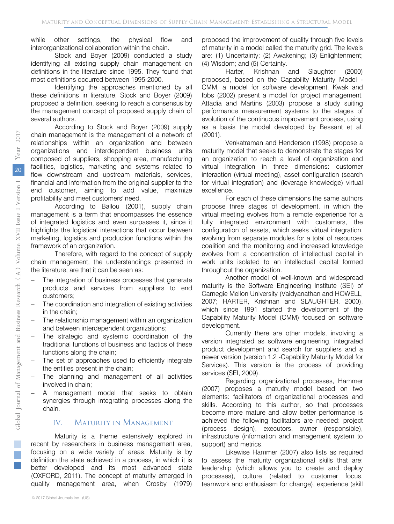while other settings, the physical flow and interorganizational collaboration within the chain.

Stock and Boyer (2009) conducted a study identifying all existing supply chain management on definitions in the literature since 1995. They found that most definitions occurred between 1995-2000.

Identifying the approaches mentioned by all these definitions in literature, Stock and Boyer (2009) proposed a definition, seeking to reach a consensus by the management concept of proposed supply chain of several authors.

According to Stock and Boyer (2009) supply chain management is the management of a network of relationships within an organization and between organizations and interdependent business units composed of suppliers, shopping area, manufacturing facilities, logistics, marketing and systems related to flow downstream and upstream materials, services, financial and information from the original supplier to the end customer, aiming to add value, maximize profitability and meet customers' need.

According to Ballou (2001), supply chain management is a term that encompasses the essence of integrated logistics and even surpasses it, since it highlights the logistical interactions that occur between marketing, logistics and production functions within the framework of an organization.

Therefore, with regard to the concept of supply chain management, the understandings presented in the literature, are that it can be seen as:

- The integration of business processes that generate products and services from suppliers to end customers;
- The coordination and integration of existing activities in the chain;
- The relationship management within an organization and between interdependent organizations;
- The strategic and systemic coordination of the traditional functions of business and tactics of these functions along the chain;
- The set of approaches used to efficiently integrate the entities present in the chain;
- The planning and management of all activities involved in chain;
- A management model that seeks to obtain synergies through integrating processes along the chain.

# IV. Maturity in Management

Maturity is a theme extensively explored in recent by researchers in business management area, focusing on a wide variety of areas. Maturity is by definition the state achieved in a process, in which it is better developed and its most advanced state (OXFORD, 2011). The concept of maturity emerged in quality management area, when Crosby (1979)

proposed the improvement of quality through five levels of maturity in a model called the maturity grid. The levels are: (1) Uncertainty; (2) Awakening; (3) Enlightenment; (4) Wisdom; and (5) Certainty.

Harter, Krishnan and Slaughter (2000) proposed, based on the Capability Maturity Model - CMM, a model for software development. Kwak and Ibbs (2002) present a model for project management. Attadia and Martins (2003) propose a study suiting performance measurement systems to the stages of evolution of the continuous improvement process, using as a basis the model developed by Bessant et al. (2001).

Venkatraman and Henderson (1998) propose a maturity model that seeks to demonstrate the stages for an organization to reach a level of organization and virtual integration in three dimensions: customer interaction (virtual meeting), asset configuration (search for virtual integration) and (leverage knowledge) virtual excellence.

For each of these dimensions the same authors propose three stages of development, in which the virtual meeting evolves from a remote experience for a fully integrated environment with customers, the configuration of assets, which seeks virtual integration, evolving from separate modules for a total of resources coalition and the monitoring and increased knowledge evolves from a concentration of intellectual capital in work units isolated to an intellectual capital formed throughout the organization.

Another model of well-known and widespread maturity is the Software Engineering Institute (SEI) of Carnegie Mellon University (Vaidyanathan and HOWELL, 2007; HARTER, Krishnan and SLAUGHTER, 2000), which since 1991 started the development of the Capability Maturity Model (CMM) focused on software development.

Currently there are other models, involving a version integrated as software engineering, integrated product development and search for suppliers and a newer version (version 1.2 -Capability Maturity Model for Services). This version is the process of providing services (SEI, 2009).

Regarding organizational processes, Hammer (2007) proposes a maturity model based on two elements: facilitators of organizational processes and skills. According to this author, so that processes become more mature and allow better performance is achieved the following facilitators are needed: project (process design), executors, owner (responsible), infrastructure (information and management system to support) and metrics.

Likewise Hammer (2007) also lists as required to assess the maturity organizational skills that are: leadership (which allows you to create and deploy processes), culture (related to customer focus, teamwork and enthusiasm for change), experience (skill

 $\mathbb{R}^3$  $\mathbb{R}^n$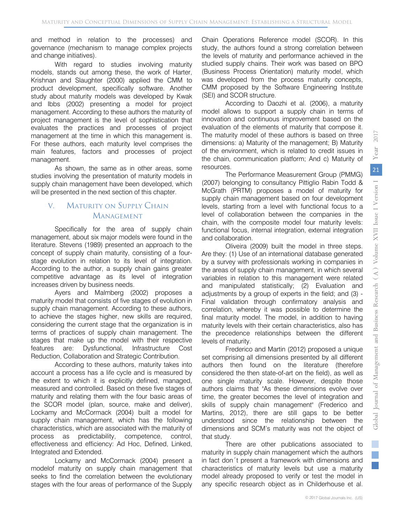and method in relation to the processes) and governance (mechanism to manage complex projects and change initiatives).

With regard to studies involving maturity models, stands out among these, the work of Harter, Krishnan and Slaughter (2000) applied the CMM to product development, specifically software. Another study about maturity models was developed by Kwak and Ibbs (2002) presenting a model for project management. According to these authors the maturity of project management is the level of sophistication that evaluates the practices and processes of project management at the time in which this management is. For these authors, each maturity level comprises the main features, factors and processes of project management.

As shown, the same as in other areas, some studies involving the presentation of maturity models in supply chain management have been developed, which will be presented in the next section of this chapter.

# V. Maturity on Supply Chain **MANAGEMENT**

Specifically for the area of supply chain management, about six major models were found in the literature. Stevens (1989) presented an approach to the concept of supply chain maturity, consisting of a fourstage evolution in relation to its level of integration. According to the author, a supply chain gains greater competitive advantage as its level of integration increases driven by business needs.

Ayers and Malmberg (2002) proposes a maturity model that consists of five stages of evolution in supply chain management. According to these authors, to achieve the stages higher, new skills are required, considering the current stage that the organization is in terms of practices of supply chain management. The stages that make up the model with their respective features are: Dysfunctional, Infrastructure Cost Reduction, Collaboration and Strategic Contribution.

According to these authors, maturity takes into account a process has a life cycle and is measured by the extent to which it is explicitly defined, managed, measured and controlled. Based on these five stages of maturity and relating them with the four basic areas of the SCOR model (plan, source, make and deliver), Lockamy and McCormack (2004) built a model for supply chain management, which has the following characteristics, which are associated with the maturity of process as predictability, competence, control, effectiveness and efficiency: Ad Hoc, Defined, Linked, Integrated and Extended.

Lockamy and McCormack (2004) present a modelof maturity on supply chain management that seeks to find the correlation between the evolutionary stages with the four areas of performance of the Supply

Chain Operations Reference model (SCOR). In this study, the authors found a strong correlation between the levels of maturity and performance achieved in the studied supply chains. Their work was based on BPO (Business Process Orientation) maturity model, which was developed from the process maturity concepts, CMM proposed by the Software Engineering Institute (SEI) and SCOR structure.

According to Daozhi et al. (2006), a maturity model allows to support a supply chain in terms of innovation and continuous improvement based on the evaluation of the elements of maturity that compose it. The maturity model of these authors is based on three dimensions: a) Maturity of the management; B) Maturity of the environment, which is related to credit issues in the chain, communication platform; And c) Maturity of resources.

The Performance Measurement Group (PMMG) (2007) belonging to consultancy Pittiglio Rabin Todd & McGrath (PRTM) proposes a model of maturity for supply chain management based on four development levels, starting from a level with functional focus to a level of collaboration between the companies in the chain, with the composite model four maturity levels: functional focus, internal integration, external integration and collaboration.

Oliveira (2009) built the model in three steps. Are they: (1) Use of an international database generated by a survey with professionals working in companies in the areas of supply chain management, in which several variables in relation to this management were related and manipulated statistically; (2) Evaluation and adjustments by a group of experts in the field; and (3) - Final validation through confirmatory analysis and correlation, whereby it was possible to determine the final maturity model. The model, in addition to having maturity levels with their certain characteristics, also has the precedence relationships between the different levels of maturity.

Frederico and Martin (2012) proposed a unique set comprising all dimensions presented by all different authors then found on the literature (therefore considered the then state-of-art on the field), as well as one single maturity scale. However, despite those authors claims that "As these dimensions evolve over time, the greater becomes the level of integration and skills of supply chain management" (Frederico and Martins, 2012), there are still gaps to be better understood since the relationship between the dimensions and SCM's maturity was not the object of that study.

There are other publications associated to maturity in supply chain management which the authors in fact don´t present a framework with dimensions and characteristics of maturity levels but use a maturity model already proposed to verify or test the model in any specific research object as in Childerhouse et al.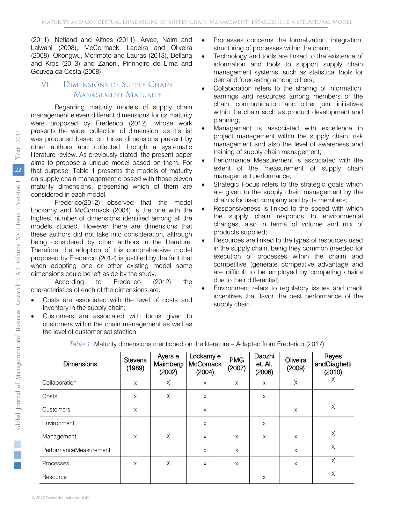(2011), Netland and Alfnes (2011), Aryee, Naim and Lalwani (2008), McCormack, Ladeira and Oliveira (2008), Okongwu, Morimoto and Lauras (2013), Dellana and Kros (2013) and Zanoni, Pinnheiro de Lima and Gouvea da Costa (2008).

# VI. Dimensions of Supply Chain **MANAGEMENT MATURITY**

Regarding maturity models of supply chain management eleven different dimensions for its maturity were proposed by Frederico (2012), whose work presents the wider collection of dimension, as it's list was produced based on those dimensions present by other authors and collected through a systematic literature review. As previously stated, the present paper aims to propose a unique model based on them. For that purpose, Table 1 presents the models of maturity on supply chain management crossed with those eleven maturity dimensions, presenting which of them are considered in each model.

Frederico(2012) observed that the model Lockamy and McCormack (2004) is the one with the highest number of dimensions identified among all the models studied. However there are dimensions that these authors did not take into consideration, although being considered by other authors in the literature. Therefore, the adoption of this comprehensive model proposed by Frederico (2012) is justified by the fact that when adopting one or other existing model some dimensions could be left aside by the study.

According to Frederico (2012) the characteristics of each of the dimensions are:

- Costs are associated with the level of costs and inventory in the supply chain;
- Customers are associated with focus given to customers within the chain management as well as the level of customer satisfaction;
- Processes concerns the formalization, integration, structuring of processes within the chain;
- Technology and tools are linked to the existence of information and tools to support supply chain management systems, such as statistical tools for demand forecasting among others;
- Collaboration refers to the sharing of information, earnings and resources among members of the chain, communication and other joint initiatives within the chain such as product development and planning;
- Management is associated with excellence in project management within the supply chain, risk management and also the level of awareness and training of supply chain management;
- Performance Measurement is associated with the extent of the measurement of supply chain management performance;
- Strategic Focus refers to the strategic goals which are given to the supply chain management by the chain's focused company and by its members;
- Responsiveness is linked to the speed with which the supply chain responds to environmental changes, also in terms of volume and mix of products supplied;
- Resources are linked to the types of resources used in the supply chain, being they common (needed for execution of processes within the chain) and competitive (generate competitive advantage and are difficult to be employed by competing chains due to their differential);
- Environment refers to regulatory issues and credit incentives that favor the best performance of the supply chain.

| <b>Dimensions</b>      | <b>Stevens</b><br>(1989) | Ayers e<br>Maimberg<br>(2002) | Lockamy e<br><b>McComack</b><br>(2004) | <b>PMG</b><br>(2007) | Daozhi<br>et. Al.<br>(2006) | Oliveira<br>(2009) | Reyes<br>andGiaghetti<br>(2010) |
|------------------------|--------------------------|-------------------------------|----------------------------------------|----------------------|-----------------------------|--------------------|---------------------------------|
| Collaboration          | $\times$                 | X                             | X                                      | X                    | X                           | X                  | X                               |
| Costs                  | $\times$                 | X                             | X                                      |                      | X                           |                    |                                 |
| <b>Customers</b>       | $\times$                 |                               | X                                      |                      |                             | $\times$           | X                               |
| Environment            |                          |                               | X                                      |                      | X                           |                    |                                 |
| Management             | X                        | X                             | X                                      | X                    | X                           | X                  | X                               |
| PerformanceMeasurement |                          |                               | X                                      | X                    |                             | X                  | X                               |
| Processes              | $\times$                 | X                             | X                                      | X                    |                             | $\times$           | X                               |
| Resource               |                          |                               |                                        |                      | X                           |                    | X                               |

*Table 1:* Maturity dimensions mentioned on the literature – Adapted from Frederico (2017)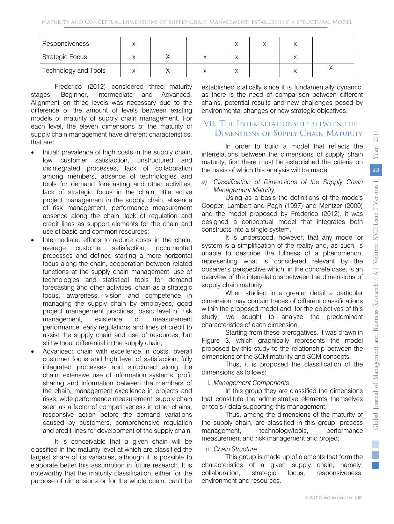| Responsiveness         |  |  |  |  |
|------------------------|--|--|--|--|
| <b>Strategic Focus</b> |  |  |  |  |
| Technology and Tools   |  |  |  |  |

Frederico (2012) considered three maturity stages: Beginner, Intermediate and Advanced. Alignment on three levels was necessary due to the difference of the amount of levels between existing models of maturity of supply chain management. For each level, the eleven dimensions of the maturity of supply chain management have different characteristics, that are:

- Initial: prevalence of high costs in the supply chain, low customer satisfaction, unstructured and disintegrated processes, lack of collaboration among members, absence of technologies and tools for demand forecasting and other activities, lack of strategic focus in the chain, little active project management in the supply chain, absence of risk management, performance measurement absence along the chain, lack of regulation and credit lines as support elements for the chain and use of basic and common resources;
- Intermediate: efforts to reduce costs in the chain, average customer satisfaction, documented processes and defined starting a more horizontal focus along the chain, cooperation between related functions at the supply chain management, use of technologies and statistical tools for demand forecasting and other activities, chain as a strategic focus, awareness, vision and competence in managing the supply chain by employees, good project management practices, basic level of risk management, existence of measurement performance, early regulations and lines of credit to assist the supply chain and use of resources, but still without differential in the supply chain;
- Advanced: chain with excellence in costs, overall customer focus and high level of satisfaction, fully integrated processes and structured along the chain, extensive use of information systems, profit sharing and information between the members of the chain, management excellence in projects and risks, wide performance measurement, supply chain seen as a factor of competitiveness in other chains, responsive action before the demand variations caused by customers, comprehensive regulation and credit lines for development of the supply chain.

It is conceivable that a given chain will be classified in the maturity level at which are classified the largest share of its variables, although it is possible to elaborate better this assumption in future research. It is noteworthy that the maturity classification, either for the purpose of dimensions or for the whole chain, can't be

established statically since it is fundamentally dynamic, as there is the need of comparison between different chains, potential results and new challenges posed by environmental changes or new strategic objectives.

# VII. The Inter-relationship between the Dimensions of Supply Chain Maturity

In order to build a model that reflects the interrelations between the dimensions of supply chain maturity, first there must be established the criteria on the basis of which this analysis will be made.

#### *a) Classification of Dimensions of the Supply Chain Management Maturity*

Using as a basis the definitions of the models Cooper, Lambert and Pagh (1997) and Mentzer (2000) and the model proposed by Frederico (2012), it was designed a conceptual model that integrates both constructs into a single system.

It is understood, however, that any model or system is a simplification of the reality and, as such, is unable to describe the fullness of a phenomenon, representing what is considered relevant by the observer's perspective which, in the concrete case, is an overview of the interrelations between the dimensions of supply chain maturity.

When studied in a greater detail a particular dimension may contain traces of different classifications within the proposed model and, for the objectives of this study, we sought to analyze the predominant characteristics of each dimension.

Starting from these prerogatives, it was drawn in Figure 3, which graphically represents the model proposed by this study to the relationship between the dimensions of the SCM maturity and SCM concepts.

Thus, it is proposed the classification of the dimensions as follows:

# i. *Management Components*

In this group they are classified the dimensions that constitute the administrative elements themselves or tools / data supporting this management.

Thus, among the dimensions of the maturity of the supply chain, are classified in this group: process management, technology/tools, performance measurement and risk management and project.

# ii. *Chain Structure*

This group is made up of elements that form the characteristics of a given supply chain, namely: collaboration, strategic focus, responsiveness, environment and resources.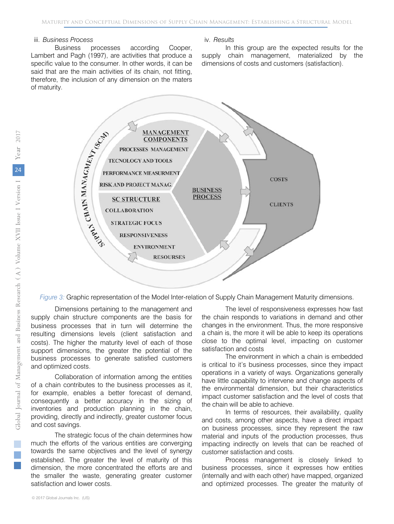#### iii. *Business Process*

Business processes according Cooper, Lambert and Pagh (1997), are activities that produce a specific value to the consumer. In other words, it can be said that are the main activities of its chain, not fitting, therefore, the inclusion of any dimension on the maters of maturity.

#### iv. *Results*

In this group are the expected results for the supply chain management, materialized by the dimensions of costs and customers (satisfaction).



*Figure 3:* Graphic representation of the Model Inter-relation of Supply Chain Management Maturity dimensions.

Dimensions pertaining to the management and supply chain structure components are the basis for business processes that in turn will determine the resulting dimensions levels (client satisfaction and costs). The higher the maturity level of each of those support dimensions, the greater the potential of the business processes to generate satisfied customers and optimized costs.

Collaboration of information among the entities of a chain contributes to the business processes as it, for example, enables a better forecast of demand, consequently a better accuracy in the sizing of inventories and production planning in the chain, providing, directly and indirectly, greater customer focus and cost savings.

The strategic focus of the chain determines how much the efforts of the various entities are converging towards the same objectives and the level of synergy established. The greater the level of maturity of this dimension, the more concentrated the efforts are and the smaller the waste, generating greater customer satisfaction and lower costs.

The level of responsiveness expresses how fast the chain responds to variations in demand and other changes in the environment. Thus, the more responsive a chain is, the more it will be able to keep its operations close to the optimal level, impacting on customer satisfaction and costs

The environment in which a chain is embedded is critical to it's business processes, since they impact operations in a variety of ways. Organizations generally have little capability to intervene and change aspects of the environmental dimension, but their characteristics impact customer satisfaction and the level of costs that the chain will be able to achieve.

In terms of resources, their availability, quality and costs, among other aspects, have a direct impact on business processes, since they represent the raw material and inputs of the production processes, thus impacting indirectly on levels that can be reached of customer satisfaction and costs.

Process management is closely linked to business processes, since it expresses how entities (internally and with each other) have mapped, organized and optimized processes. The greater the maturity of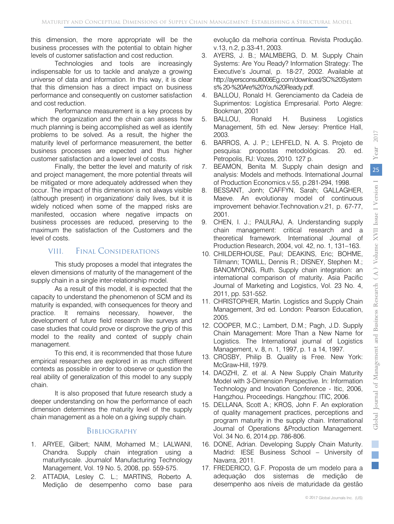this dimension, the more appropriate will be the business processes with the potential to obtain higher levels of customer satisfaction and cost reduction.

Technologies and tools are increasingly indispensable for us to tackle and analyze a growing universe of data and information. In this way, it is clear that this dimension has a direct impact on business performance and consequently on customer satisfaction and cost reduction.

Performance measurement is a key process by which the organization and the chain can assess how much planning is being accomplished as well as identify problems to be solved. As a result, the higher the maturity level of performance measurement, the better business processes are expected and thus higher customer satisfaction and a lower level of costs.

Finally, the better the level and maturity of risk and project management, the more potential threats will be mitigated or more adequately addressed when they occur. The impact of this dimension is not always visible (although present) in organizations' daily lives, but it is widely noticed when some of the mapped risks are manifested, occasion where negative impacts on business processes are reduced, preserving to the maximum the satisfaction of the Customers and the level of costs.

# VIII. Final Considerations

This study proposes a model that integrates the eleven dimensions of maturity of the management of the supply chain in a single inter-relationship model.

As a result of this model, it is expected that the capacity to understand the phenomenon of SCM and its maturity is expanded, with consequences for theory and practice. It remains necessary, however, the development of future field research like surveys and case studies that could prove or disprove the grip of this model to the reality and context of supply chain management.

To this end, it is recommended that those future empirical researches are explored in as much different contexts as possible in order to observe or question the real ability of generalization of this model to any supply chain.

It is also proposed that future research study a deeper understanding on how the performance of each dimension determines the maturity level of the supply chain management as a hole on a giving supply chain.

#### **BIBLIOGRAPHY**

- 1. ARYEE, Gilbert; NAIM, Mohamed M.; LALWANI, Chandra. Supply chain integration using a maturityscale. Journalof Manufacturing Technology Management, Vol. 19 No. 5, 2008, pp. 559-575.
- 2. ATTADIA, Lesley C. L.; MARTINS, Roberto A. Medição de desempenho como base para

evolução da melhoria contínua. Revista Produção. v.13, n.2, p.33-41, 2003.

- 3. AYERS, J. B.; MALMBERG, D. M. Supply Chain Systems: Are You Ready? Information Strategy: The Executive's Journal, p. 18-27, 2002. Available at http://ayersconsulti006Eg.com/download/SC%20System s% 20-%20Are%20You%20Ready.pdf.
- 4. BALLOU, Ronald H. Gerenciamento da Cadeia de Suprimentos: Logística Empresarial. Porto Alegre: Bookman, 2001
- 5. BALLOU, Ronald H. Business Logistics Management, 5th ed. New Jersey: Prentice Hall, 2003.
- 6. BARROS, A. J. P.; LEHFELD, N. A. S. Projeto de pesquisa: propostas metodológicas. 20. ed. Petropolis, RJ: Vozes, 2010. 127 p.
- 7. BEAMON, Benita M. Supply chain design and analysis: Models and methods. International Journal of Production Economics.v.55, p.281-294, 1998.
- 8. BESSANT, Jonh; CAFFYN, Sarah; GALLAGHER, Maeve. An evolutionay model of continuous improvement behavior.Technovation.v.21, p. 67-77, 2001.
- 9. CHEN, I. J.; PAULRAJ, A. Understanding supply chain management: critical research and a theoretical framework. International Journal of Production Research, 2004, vol. 42, no. 1, 131–163.
- 10. CHILDERHOUSE, Paul; DEAKINS, Eric; BOHME, Tillmann; TOWILL, Dennis R.; DISNEY, Stephen M.; BANOMYONG, Ruth. Supply chain integration: an international comparison of maturity. Asia Pacific Journal of Marketing and Logistics, Vol. 23 No. 4, 2011, pp. 531-552.
- 11. CHRISTOPHER, Martin. Logistics and Supply Chain Management, 3rd ed. London: Pearson Education, 2005.
- 12. COOPER, M.C.; Lambert, D.M.; Pagh, J.D. Supply Chain Management: More Than a New Name for Logistics. The International journal of Logistics Management, v. 8, n. 1, 1997, p. 1 a 14, 1997.
- 13. CROSBY, Philip B. Quality is Free. New York: McGraw-Hill, 1979.
- 14. DAOZHI, Z. et al. A New Supply Chain Maturity Model with 3-Dimension Perspective. In: Information Technology and Inovation Conference - Itic, 2006, Hangzhou. Proceedings. Hangzhou: ITIC, 2006.
- 15. DELLANA, Scott A.; KROS, John F. An exploration of quality management practices, perceptions and program maturity in the supply chain. International Journal of Operations &Production Management. Vol. 34 No. 6, 2014.pp. 786-806.
- 16. DONE, Adrian. Developing Supply Chain Maturity. Madrid: IESE Business School – University of Navarra, 2011.
- 17. FREDERICO, G.F. Proposta de um modelo para a adequação dos sistemas de medição de desempenho aos níveis de maturidade da gestão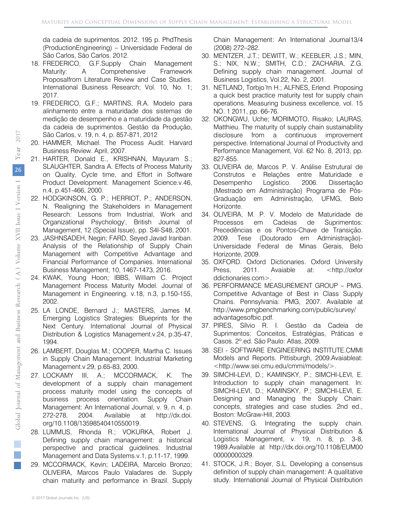da cadeia de suprimentos. 2012. 195 p. PhdThesis (ProductionEngineering) – Universidade Federal de São Carlos, São Carlos. 2012.

- 18. FREDERICO, G.F.Supply Chain Management Maturity: A Comprehensive Framework Proposalfrom Literature Review and Case Studies. International Business Research; Vol. 10, No. 1; 2017.
- 19. FREDERICO, G.F.; MARTINS, R.A. Modelo para alinhamento entre a maturidade dos sistemas de medição de desempenho e a maturidade da gestão da cadeia de suprimentos. Gestão da Produção, São Carlos, v. 19, n. 4, p. 857-871, 2012
- 20. HAMMER, Michael. The Process Audit. Harvard Business Review. April, 2007.
- 21. HARTER, Donald E., KRISHNAN, Mayuram S.; SLAUGHTER, Sandra A. Effects of Process Maturity on Quality, Cycle time, and Effort in Software Product Development. Management Science.v.46, n.4, p.451-466, 2000.
- 22. HODGKINSON, G. P.; HERRIOT, P.; ANDERSON, N. 'Realigning the Stakeholders in Management Research: Lessons from Industrial, Work and Organizational Psychology', British Journal of Management, 12 (Special Issue), pp. S4I-S48, 2001.
- 23. JASHNSADEH, Negin; FARD, Seyed Javad Iranban. Analysis of the Relationship of Supply Chain Management with Competitive Advantage and Financial Performance of Companies. International Business Management, 10, 1467-1473, 2016.
- 24. KWAK, Young Hoon; IBBS, William C. Project Management Process Maturity Model. Journal of Management in Engineering. v.18, n.3, p.150-155, 2002.
- 25. LA LONDE, Bernard J.; MASTERS, James M. Emerging Logistics Strategies: Blueprints for the Next Century. International Journal of Physical Distribution & Logistics Management.v.24, p.35-47, 1994.
- 26. LAMBERT, Douglas M.; COOPER, Martha C. Issues in Supply Chain Management. Industrial Marketing Management.v.29, p.65-83, 2000.
- 27. LOCKAMY III, A.; MCCORMACK, K. The development of a supply chain management process maturity model using the concepts of business process orientation. Supply Chain Management: An International Journal, v. 9, n. 4, p. 272-278, 2004. Available at http://dx.doi. org/10.1108/13598540410550019.
- 28. LUMMUS, Rhonda R.; VOKURKA, Robert J. Defining supply chain management: a historical perspective and practical guidelines. Industrial Management and Data Systems.v.1, p.11-17, 1999.
- 29. MCCORMACK, Kevin; LADEIRA, Marcelo Bronzo; OLIVEIRA, Marcos Paulo Valadares de. Supply chain maturity and performance in Brazil. Supply
- 30. MENTZER, J.T.; DEWITT, W.; KEEBLER, J.S.; MIN, S.; NIX, N.W.; SMITH, C.D.; ZACHARIA, Z.G. Defining supply chain management. Journal of Business Logistics, Vol.22, No. 2, 2001.
- 31. NETLAND, Torbjo ̈rn H.; ALFNES, Erlend. Proposing a quick best practice maturity test for supply chain operations. Measuring business excellence, vol. 15 NO. 1 2011, pp. 66-76.
- 32. OKONGWU, Uche; MORIMOTO, Risako; LAURAS, Matthieu. The maturity of supply chain sustainability disclosure from a continuous improvement perspective. International Journal of Productivity and Performance Management, Vol. 62 No. 8, 2013, pp. 827-855.
- 33. OLIVEIRA de, Marcos P. V. Análise Estrutural de Construtos e Relações entre Maturidade e Desempenho Logístico. 2006. Dissertação (Mestrado em Administração) Programa de Pós-Graduação em Administração, UFMG, Belo Horizonte.
- 34. OLIVEIRA, M. P. V. Modelo de Maturidade de Processos em Cadeias de Suprimentos: Precedências e os Pontos-Chave de Transição. 2009. Tese (Doutorado em Administração)- Universidade Federal de Minas Gerais, Belo Horizonte, 2009.
- 35. OXFORD. Oxford Dictionaries. Oxford University Press, 2011. Avaiable at: <http://oxfor ddictionaries.com>.
- 36. PERFORMANCE MEASUREMENT GROUP PMG. Competitive Advantage of Best in Class Supply Chains. Pennsylvania: PMG, 2007. Available at http://www.pmgbenchmarking.com/public/survey/ advantagesofbic.pdf.
- 37. PIRES, Sílvio R. I. Gestão da Cadeia de Suprimentos: Conceitos, Estratégias, Práticas e Casos. 2º.ed. São Paulo: Atlas, 2009.
- 38. SEI SOFTWARE ENGINEERING INSTITUTE.CMMI Models and Reports. Pittisburgh, 2009.Avaiableat: <http://www.sei.cmu.edu/cmmi/models/>.
- 39. SIMCHI-LEVI, D.; KAMINSKY, P.; SIMCHI-LEVI, E. Introduction to supply chain management. In: SIMCHI-LEVI, D.; KAMINSKY, P.; SIMCHI-LEVI, E. Designing and Managing the Supply Chain: concepts, strategies and case studies. 2nd ed., Boston: McGraw-Hill, 2003.
- 40. STEVENS, G. Integrating the supply chain. International Journal of Physical Distribution & Logistics Management, v. 19, n. 8, p. 3-8, 1989.Available at http://dx.doi.org/10.1108/EUM00 00000000329.
- 41. STOCK, J.R.; Boyer, S.L. Developing a consensus definition of supply chain management: A qualitative study. International Journal of Physical Distribution

a.  $\mathbb{R}^n$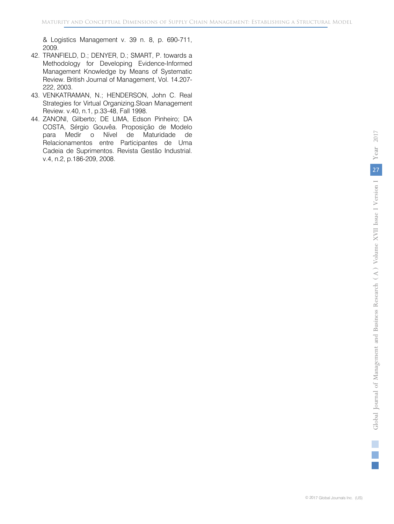& Logistics Management v. 39 n. 8, p. 690-711, 2009.

- 42. TRANFIELD, D.; DENYER, D.; SMART, P. towards a Methodology for Developing Evidence-Informed Management Knowledge by Means of Systematic Review. British Journal of Management, Vol. 14.207- 222, 2003.
- 43. VENKATRAMAN, N.; HENDERSON, John C. Real Strategies for Virtual Organizing.Sloan Management Review. v.40, n.1, p.33-48, Fall 1998.
- 44. ZANONI, Gilberto; DE LIMA, Edson Pinheiro; DA COSTA, Sérgio Gouvêa. Proposição de Modelo para Medir o Nível de Maturidade de Relacionamentos entre Participantes de Uma Cadeia de Suprimentos. Revista Gestão Industrial. v.4, n.2, p.186-209, 2008.